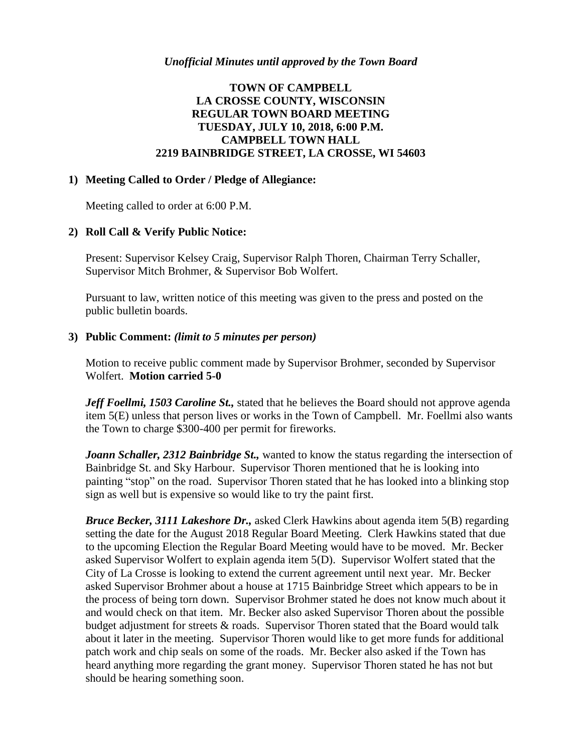# **TOWN OF CAMPBELL LA CROSSE COUNTY, WISCONSIN REGULAR TOWN BOARD MEETING TUESDAY, JULY 10, 2018, 6:00 P.M. CAMPBELL TOWN HALL 2219 BAINBRIDGE STREET, LA CROSSE, WI 54603**

#### **1) Meeting Called to Order / Pledge of Allegiance:**

Meeting called to order at 6:00 P.M.

#### **2) Roll Call & Verify Public Notice:**

Present: Supervisor Kelsey Craig, Supervisor Ralph Thoren, Chairman Terry Schaller, Supervisor Mitch Brohmer, & Supervisor Bob Wolfert.

Pursuant to law, written notice of this meeting was given to the press and posted on the public bulletin boards.

#### **3) Public Comment:** *(limit to 5 minutes per person)*

Motion to receive public comment made by Supervisor Brohmer, seconded by Supervisor Wolfert. **Motion carried 5-0**

Jeff Foellmi, 1503 Caroline St., stated that he believes the Board should not approve agenda item 5(E) unless that person lives or works in the Town of Campbell. Mr. Foellmi also wants the Town to charge \$300-400 per permit for fireworks.

*Joann Schaller, 2312 Bainbridge St., wanted to know the status regarding the intersection of* Bainbridge St. and Sky Harbour. Supervisor Thoren mentioned that he is looking into painting "stop" on the road. Supervisor Thoren stated that he has looked into a blinking stop sign as well but is expensive so would like to try the paint first.

*Bruce Becker, 3111 Lakeshore Dr.,* asked Clerk Hawkins about agenda item 5(B) regarding setting the date for the August 2018 Regular Board Meeting. Clerk Hawkins stated that due to the upcoming Election the Regular Board Meeting would have to be moved. Mr. Becker asked Supervisor Wolfert to explain agenda item 5(D). Supervisor Wolfert stated that the City of La Crosse is looking to extend the current agreement until next year. Mr. Becker asked Supervisor Brohmer about a house at 1715 Bainbridge Street which appears to be in the process of being torn down. Supervisor Brohmer stated he does not know much about it and would check on that item. Mr. Becker also asked Supervisor Thoren about the possible budget adjustment for streets & roads. Supervisor Thoren stated that the Board would talk about it later in the meeting. Supervisor Thoren would like to get more funds for additional patch work and chip seals on some of the roads. Mr. Becker also asked if the Town has heard anything more regarding the grant money. Supervisor Thoren stated he has not but should be hearing something soon.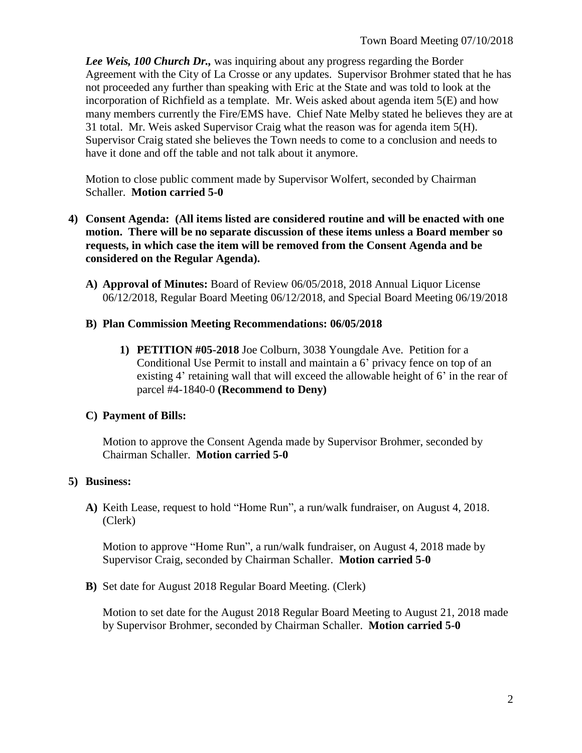*Lee Weis, 100 Church Dr.,* was inquiring about any progress regarding the Border Agreement with the City of La Crosse or any updates. Supervisor Brohmer stated that he has not proceeded any further than speaking with Eric at the State and was told to look at the incorporation of Richfield as a template. Mr. Weis asked about agenda item 5(E) and how many members currently the Fire/EMS have. Chief Nate Melby stated he believes they are at 31 total. Mr. Weis asked Supervisor Craig what the reason was for agenda item 5(H). Supervisor Craig stated she believes the Town needs to come to a conclusion and needs to have it done and off the table and not talk about it anymore.

Motion to close public comment made by Supervisor Wolfert, seconded by Chairman Schaller. **Motion carried 5-0**

- **4) Consent Agenda: (All items listed are considered routine and will be enacted with one motion. There will be no separate discussion of these items unless a Board member so requests, in which case the item will be removed from the Consent Agenda and be considered on the Regular Agenda).**
	- **A) Approval of Minutes:** Board of Review 06/05/2018, 2018 Annual Liquor License 06/12/2018, Regular Board Meeting 06/12/2018, and Special Board Meeting 06/19/2018

## **B) Plan Commission Meeting Recommendations: 06/05/2018**

**1) PETITION #05-2018** Joe Colburn, 3038 Youngdale Ave. Petition for a Conditional Use Permit to install and maintain a 6' privacy fence on top of an existing 4' retaining wall that will exceed the allowable height of 6' in the rear of parcel #4-1840-0 **(Recommend to Deny)**

# **C) Payment of Bills:**

Motion to approve the Consent Agenda made by Supervisor Brohmer, seconded by Chairman Schaller. **Motion carried 5-0**

# **5) Business:**

**A)** Keith Lease, request to hold "Home Run", a run/walk fundraiser, on August 4, 2018. (Clerk)

Motion to approve "Home Run", a run/walk fundraiser, on August 4, 2018 made by Supervisor Craig, seconded by Chairman Schaller. **Motion carried 5-0**

**B)** Set date for August 2018 Regular Board Meeting. (Clerk)

Motion to set date for the August 2018 Regular Board Meeting to August 21, 2018 made by Supervisor Brohmer, seconded by Chairman Schaller. **Motion carried 5-0**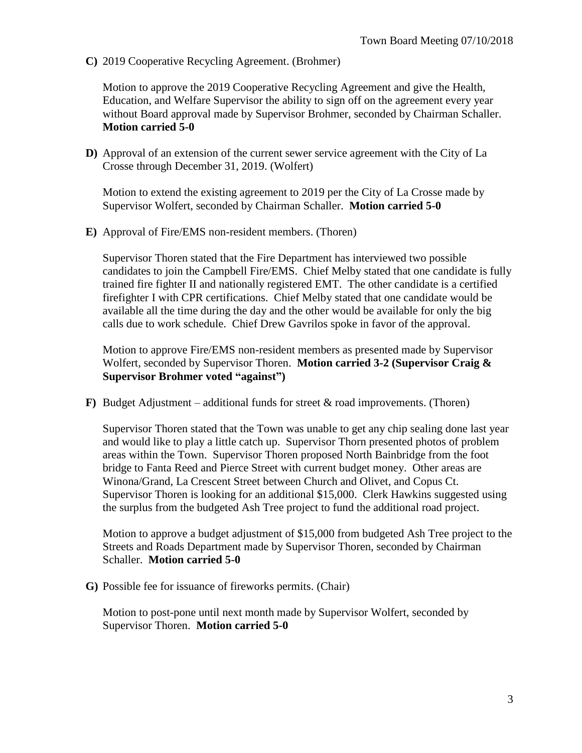**C)** 2019 Cooperative Recycling Agreement. (Brohmer)

Motion to approve the 2019 Cooperative Recycling Agreement and give the Health, Education, and Welfare Supervisor the ability to sign off on the agreement every year without Board approval made by Supervisor Brohmer, seconded by Chairman Schaller. **Motion carried 5-0**

**D)** Approval of an extension of the current sewer service agreement with the City of La Crosse through December 31, 2019. (Wolfert)

Motion to extend the existing agreement to 2019 per the City of La Crosse made by Supervisor Wolfert, seconded by Chairman Schaller. **Motion carried 5-0**

**E)** Approval of Fire/EMS non-resident members. (Thoren)

Supervisor Thoren stated that the Fire Department has interviewed two possible candidates to join the Campbell Fire/EMS. Chief Melby stated that one candidate is fully trained fire fighter II and nationally registered EMT. The other candidate is a certified firefighter I with CPR certifications. Chief Melby stated that one candidate would be available all the time during the day and the other would be available for only the big calls due to work schedule. Chief Drew Gavrilos spoke in favor of the approval.

Motion to approve Fire/EMS non-resident members as presented made by Supervisor Wolfert, seconded by Supervisor Thoren. **Motion carried 3-2 (Supervisor Craig & Supervisor Brohmer voted "against")**

**F)** Budget Adjustment – additional funds for street & road improvements. (Thoren)

Supervisor Thoren stated that the Town was unable to get any chip sealing done last year and would like to play a little catch up. Supervisor Thorn presented photos of problem areas within the Town. Supervisor Thoren proposed North Bainbridge from the foot bridge to Fanta Reed and Pierce Street with current budget money. Other areas are Winona/Grand, La Crescent Street between Church and Olivet, and Copus Ct. Supervisor Thoren is looking for an additional \$15,000. Clerk Hawkins suggested using the surplus from the budgeted Ash Tree project to fund the additional road project.

Motion to approve a budget adjustment of \$15,000 from budgeted Ash Tree project to the Streets and Roads Department made by Supervisor Thoren, seconded by Chairman Schaller. **Motion carried 5-0**

**G)** Possible fee for issuance of fireworks permits. (Chair)

Motion to post-pone until next month made by Supervisor Wolfert, seconded by Supervisor Thoren. **Motion carried 5-0**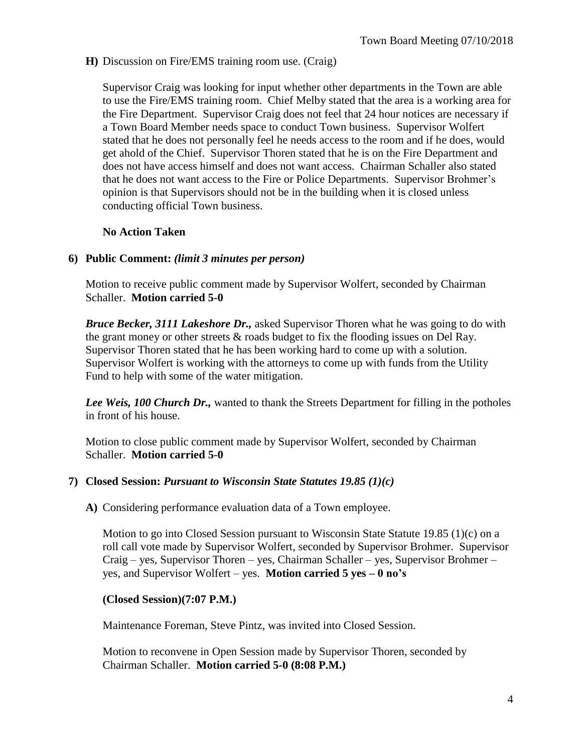**H)** Discussion on Fire/EMS training room use. (Craig)

Supervisor Craig was looking for input whether other departments in the Town are able to use the Fire/EMS training room. Chief Melby stated that the area is a working area for the Fire Department. Supervisor Craig does not feel that 24 hour notices are necessary if a Town Board Member needs space to conduct Town business. Supervisor Wolfert stated that he does not personally feel he needs access to the room and if he does, would get ahold of the Chief. Supervisor Thoren stated that he is on the Fire Department and does not have access himself and does not want access. Chairman Schaller also stated that he does not want access to the Fire or Police Departments. Supervisor Brohmer's opinion is that Supervisors should not be in the building when it is closed unless conducting official Town business.

## **No Action Taken**

## **6) Public Comment:** *(limit 3 minutes per person)*

Motion to receive public comment made by Supervisor Wolfert, seconded by Chairman Schaller. **Motion carried 5-0**

*Bruce Becker, 3111 Lakeshore Dr.,* asked Supervisor Thoren what he was going to do with the grant money or other streets & roads budget to fix the flooding issues on Del Ray. Supervisor Thoren stated that he has been working hard to come up with a solution. Supervisor Wolfert is working with the attorneys to come up with funds from the Utility Fund to help with some of the water mitigation.

*Lee Weis, 100 Church Dr.,* wanted to thank the Streets Department for filling in the potholes in front of his house.

Motion to close public comment made by Supervisor Wolfert, seconded by Chairman Schaller. **Motion carried 5-0**

### **7) Closed Session:** *Pursuant to Wisconsin State Statutes 19.85 (1)(c)*

**A)** Considering performance evaluation data of a Town employee.

Motion to go into Closed Session pursuant to Wisconsin State Statute 19.85 (1)(c) on a roll call vote made by Supervisor Wolfert, seconded by Supervisor Brohmer. Supervisor Craig – yes, Supervisor Thoren – yes, Chairman Schaller – yes, Supervisor Brohmer – yes, and Supervisor Wolfert – yes. **Motion carried 5 yes – 0 no's**

#### **(Closed Session)(7:07 P.M.)**

Maintenance Foreman, Steve Pintz, was invited into Closed Session.

Motion to reconvene in Open Session made by Supervisor Thoren, seconded by Chairman Schaller. **Motion carried 5-0 (8:08 P.M.)**